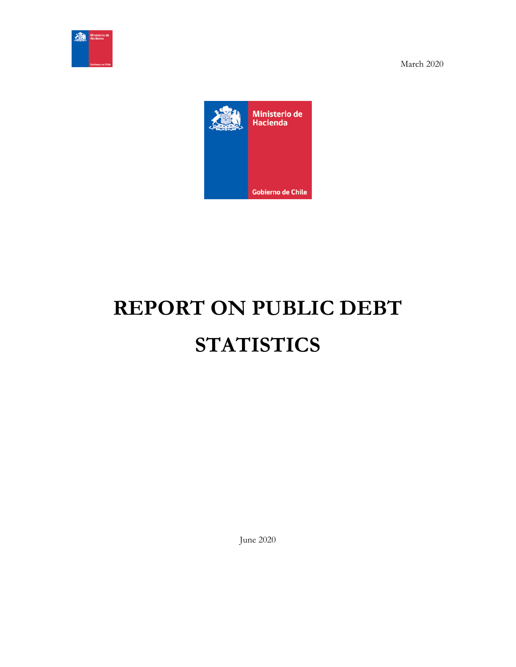



# **REPORT ON PUBLIC DEBT STATISTICS**

June 2020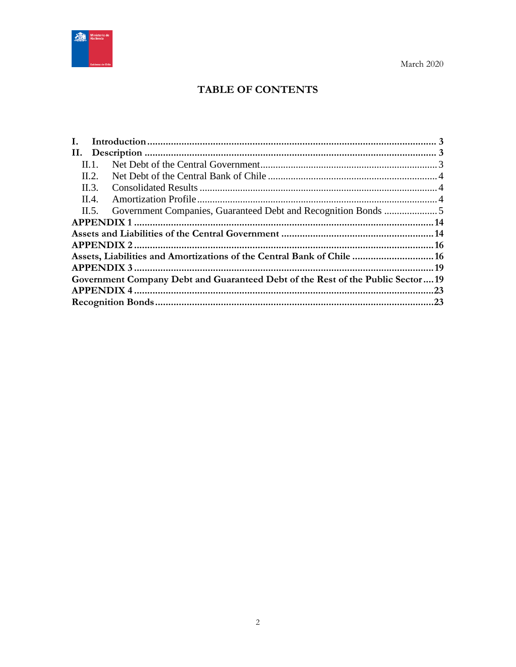

# **TABLE OF CONTENTS**

| Н. 1.                                                                          |  |
|--------------------------------------------------------------------------------|--|
| II.2.                                                                          |  |
| II.3.                                                                          |  |
| II.4.                                                                          |  |
| II.5.                                                                          |  |
|                                                                                |  |
|                                                                                |  |
|                                                                                |  |
| Assets, Liabilities and Amortizations of the Central Bank of Chile  16         |  |
|                                                                                |  |
| Government Company Debt and Guaranteed Debt of the Rest of the Public Sector19 |  |
|                                                                                |  |
|                                                                                |  |
|                                                                                |  |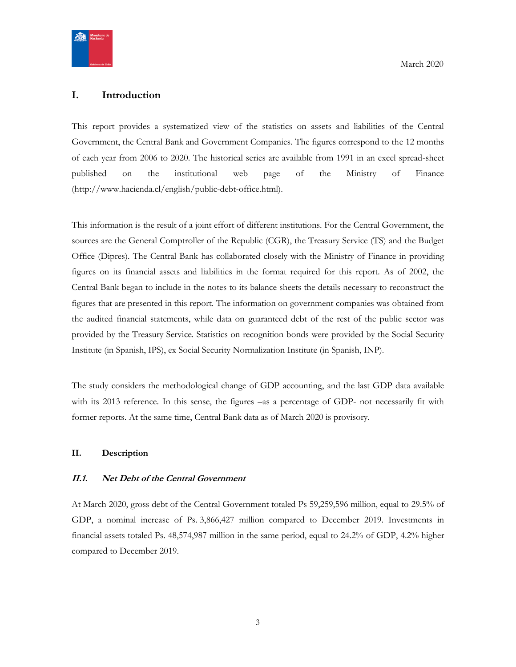

## <span id="page-2-0"></span>**I. Introduction**

This report provides a systematized view of the statistics on assets and liabilities of the Central Government, the Central Bank and Government Companies. The figures correspond to the 12 months of each year from 2006 to 2020. The historical series are available from 1991 in an excel spread-sheet published on the institutional web page of the Ministry of Finance (http://www.hacienda.cl/english/public-debt-office.html).

This information is the result of a joint effort of different institutions. For the Central Government, the sources are the General Comptroller of the Republic (CGR), the Treasury Service (TS) and the Budget Office (Dipres). The Central Bank has collaborated closely with the Ministry of Finance in providing figures on its financial assets and liabilities in the format required for this report. As of 2002, the Central Bank began to include in the notes to its balance sheets the details necessary to reconstruct the figures that are presented in this report. The information on government companies was obtained from the audited financial statements, while data on guaranteed debt of the rest of the public sector was provided by the Treasury Service. Statistics on recognition bonds were provided by the Social Security Institute (in Spanish, IPS), ex Social Security Normalization Institute (in Spanish, INP).

The study considers the methodological change of GDP accounting, and the last GDP data available with its 2013 reference. In this sense, the figures –as a percentage of GDP- not necessarily fit with former reports. At the same time, Central Bank data as of March 2020 is provisory.

#### <span id="page-2-1"></span>**II. Description**

#### <span id="page-2-2"></span>**II.1. Net Debt of the Central Government**

At March 2020, gross debt of the Central Government totaled Ps 59,259,596 million, equal to 29.5% of GDP, a nominal increase of Ps. 3,866,427 million compared to December 2019. Investments in financial assets totaled Ps. 48,574,987 million in the same period, equal to 24.2% of GDP, 4.2% higher compared to December 2019.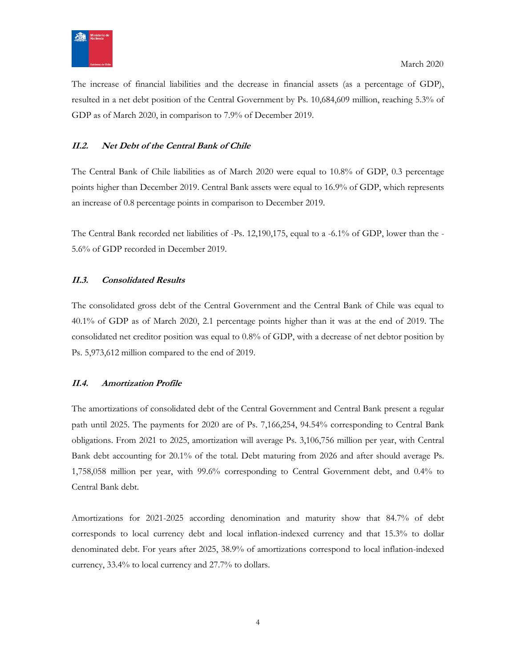

The increase of financial liabilities and the decrease in financial assets (as a percentage of GDP), resulted in a net debt position of the Central Government by Ps. 10,684,609 million, reaching 5.3% of GDP as of March 2020, in comparison to 7.9% of December 2019.

## <span id="page-3-0"></span>**II.2. Net Debt of the Central Bank of Chile**

The Central Bank of Chile liabilities as of March 2020 were equal to 10.8% of GDP, 0.3 percentage points higher than December 2019. Central Bank assets were equal to 16.9% of GDP, which represents an increase of 0.8 percentage points in comparison to December 2019.

The Central Bank recorded net liabilities of -Ps. 12,190,175, equal to a -6.1% of GDP, lower than the - 5.6% of GDP recorded in December 2019.

## <span id="page-3-1"></span>**II.3. Consolidated Results**

The consolidated gross debt of the Central Government and the Central Bank of Chile was equal to 40.1% of GDP as of March 2020, 2.1 percentage points higher than it was at the end of 2019. The consolidated net creditor position was equal to 0.8% of GDP, with a decrease of net debtor position by Ps. 5,973,612 million compared to the end of 2019.

## <span id="page-3-2"></span>**II.4. Amortization Profile**

The amortizations of consolidated debt of the Central Government and Central Bank present a regular path until 2025. The payments for 2020 are of Ps. 7,166,254, 94.54% corresponding to Central Bank obligations. From 2021 to 2025, amortization will average Ps. 3,106,756 million per year, with Central Bank debt accounting for 20.1% of the total. Debt maturing from 2026 and after should average Ps. 1,758,058 million per year, with 99.6% corresponding to Central Government debt, and 0.4% to Central Bank debt.

Amortizations for 2021-2025 according denomination and maturity show that 84.7% of debt corresponds to local currency debt and local inflation-indexed currency and that 15.3% to dollar denominated debt. For years after 2025, 38.9% of amortizations correspond to local inflation-indexed currency, 33.4% to local currency and 27.7% to dollars.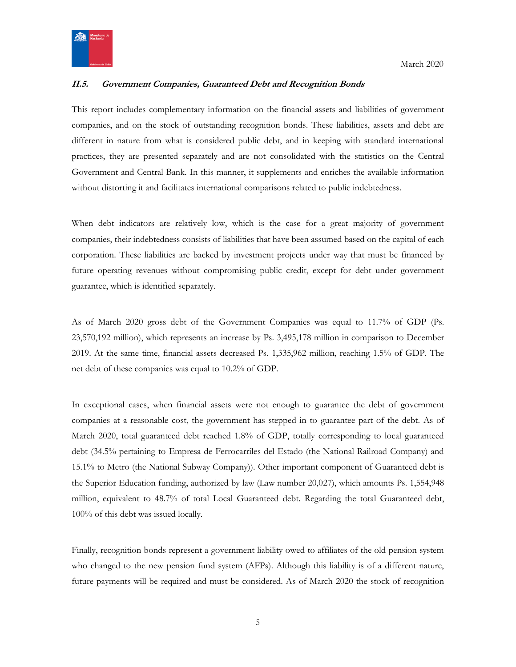

## <span id="page-4-0"></span>**II.5. Government Companies, Guaranteed Debt and Recognition Bonds**

This report includes complementary information on the financial assets and liabilities of government companies, and on the stock of outstanding recognition bonds. These liabilities, assets and debt are different in nature from what is considered public debt, and in keeping with standard international practices, they are presented separately and are not consolidated with the statistics on the Central Government and Central Bank. In this manner, it supplements and enriches the available information without distorting it and facilitates international comparisons related to public indebtedness.

When debt indicators are relatively low, which is the case for a great majority of government companies, their indebtedness consists of liabilities that have been assumed based on the capital of each corporation. These liabilities are backed by investment projects under way that must be financed by future operating revenues without compromising public credit, except for debt under government guarantee, which is identified separately.

As of March 2020 gross debt of the Government Companies was equal to 11.7% of GDP (Ps. 23,570,192 million), which represents an increase by Ps. 3,495,178 million in comparison to December 2019. At the same time, financial assets decreased Ps. 1,335,962 million, reaching 1.5% of GDP. The net debt of these companies was equal to 10.2% of GDP.

In exceptional cases, when financial assets were not enough to guarantee the debt of government companies at a reasonable cost, the government has stepped in to guarantee part of the debt. As of March 2020, total guaranteed debt reached 1.8% of GDP, totally corresponding to local guaranteed debt (34.5% pertaining to Empresa de Ferrocarriles del Estado (the National Railroad Company) and 15.1% to Metro (the National Subway Company)). Other important component of Guaranteed debt is the Superior Education funding, authorized by law (Law number 20,027), which amounts Ps. 1,554,948 million, equivalent to 48.7% of total Local Guaranteed debt. Regarding the total Guaranteed debt, 100% of this debt was issued locally.

Finally, recognition bonds represent a government liability owed to affiliates of the old pension system who changed to the new pension fund system (AFPs). Although this liability is of a different nature, future payments will be required and must be considered. As of March 2020 the stock of recognition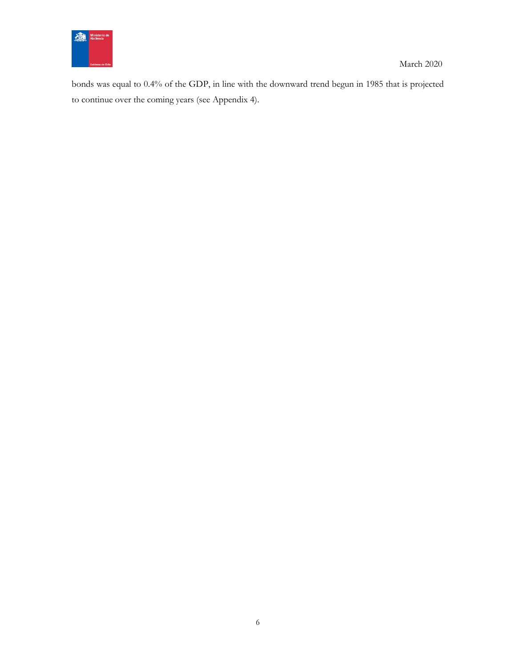

bonds was equal to 0.4% of the GDP, in line with the downward trend begun in 1985 that is projected to continue over the coming years (see Appendix 4).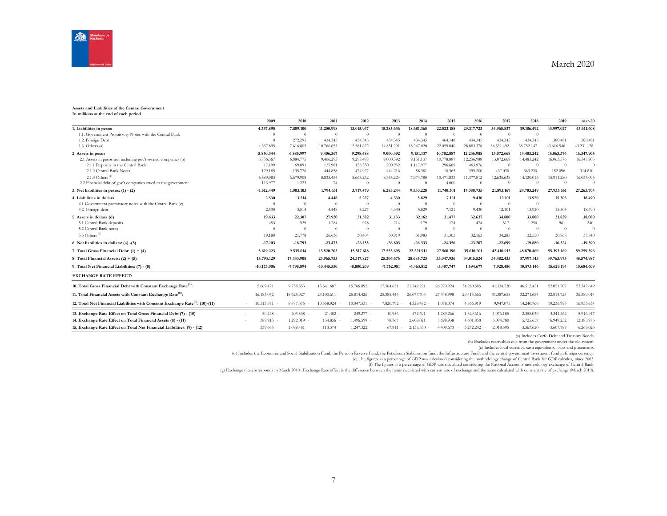

#### **Assets and Liabilities of the Central Government In millions at the end of each period**

|                                                                                            | 2009          | 2010        | 2011          | 2012         | 2013         | 2014         | 2015         | 2016       | 2017       | 2018         | 2019         | $mar-20$     |
|--------------------------------------------------------------------------------------------|---------------|-------------|---------------|--------------|--------------|--------------|--------------|------------|------------|--------------|--------------|--------------|
| 1. Liabilities in pesos                                                                    | 4.337.895     | 7.889.100   | 11.200.998    | 13.015.967   | 15.285.636   | 18.681.365   | 22.523.188   | 29.317.723 | 34.965.837 | 39.186.492   | 43.997.027   | 43.611.608   |
| 1.1. Government Promissory Notes with the Central Bank                                     | $\Omega$      | $\Omega$    | $\Omega$      | $\theta$     | $\Omega$     | $\theta$     | $\Omega$     | $\Omega$   | $\Omega$   | $\Omega$     |              |              |
| 1.2. Foreign Debt                                                                          | $\Omega$      | 272.295     | 434.345       | 434.345      | 434.345      | 434.345      | 464.148      | 434.345    | 434.345    | 434.345      | 380.481      | 380.481      |
| 1.3. Others(a)                                                                             | 4.337.895     | 7.616.805   | 10.766.653    | 12.581.622   | 14.851.291   | 18.247.020   | 22,059,040   | 28.883.378 | 34.531.492 | 38.752.147   | 43.616.546   | 43.231.128   |
| 2. Assets in pesos                                                                         | 5.850.344     | 6.885.997   | 9.406.367     | 9.298.488    | 9.000.392    | 9.151.137    | 10.782.887   | 12.236.988 | 13.072.668 | 14.483.242   | 16.063.376   | 16.347.905   |
| 2.1 Assets in pesos not including gov't-owned companies (b)                                | 5.736.367     | 6.884.775   | 9.406.293     | 9.298.488    | 9.000.392    | 9.151.137    | 10,778,887   | 12.236.988 | 13.072.668 | 14.483.242   | 16.063.376   | 16.347.905   |
| 2.1.1 Deposits in the Central Bank                                                         | 17.199        | 69.091      | 125.981       | 158.330      | 200.952      | 1.117.977    | 296.689      | 463.976    | $\Omega$   | $\theta$     | $\Omega$     | $\Omega$     |
| 2.1.2 Central Bank Notes                                                                   | 129.185       | 135.776     | 444.858       | 474.927      | 444.216      | 58.381       | 10.365       | 395.200    | 437.030    | 363.230      | 152.096      | 314.810      |
| 2.1.3 Others <sup>(c)</sup>                                                                | 5.589.983     | 6.679.908   | 8.835.454     | 8.665.232    | 8.355.224    | 7.974.780    | 10.471.833   | 11.377.812 | 12.635.638 | 14.120.013   | 15.911.280   | 16.033.095   |
| 2.2 Financial debt of gov't companies owed to the government                               | 113,977       | 1.223       | 74            | $\theta$     | $\Omega$     | $\Omega$     | 4.000        | $\Omega$   | $\Omega$   | $\Omega$     | $\Omega$     | $\Omega$     |
| 3. Net liabilities in pesos: $(1) - (2)$                                                   | $-1.512.449$  | 1.003.103   | 1.794.631     | 3.717.479    | 6.285.244    | 9.530.228    | 11,740,301   | 17,080,735 | 21,893,169 | 24,703,249   | 27.933.651   | 27.263.704   |
| 4. Liabilities in dollars                                                                  | 2.530         | 3.514       | 4.448         | 5.227        | 4.330        | 5.829        | 7.121        | 9.430      | 12.101     | 13.920       | 15.305       | 18.490       |
| 4.1 Government promissory notes with the Central Bank (c)                                  | $\theta$      | $\Omega$    | $\Omega$      | $\Omega$     | $\Omega$     | $\Omega$     | $\theta$     | $\Omega$   | $\Omega$   | $\Omega$     |              |              |
| 4.2 Foreign debt                                                                           | 2.530         | 3.514       | 4.448         | 5.227        | 4.330        | 5.829        | 7.121        | 9.430      | 12.101     | 13.920       | 15.305       | 18.490       |
| 5. Assets in dollars (d)                                                                   | 19.633        | 22,307      | 27.920        | 31.382       | 31.133       | 32.162       | 31.477       | 32.637     | 34.800     | 33.800       | 31.829       | 38.080       |
| 5.1 Central Bank deposits                                                                  | 453           | 529         | 1.284         | 978          | 214          | 179          | 174          | 474        | 517        | 1.250        | 961          | 240          |
| 5.2 Central Bank notes                                                                     | $\Omega$      | $\Omega$    | $\Omega$      | $\Omega$     | $\Omega$     | $\Omega$     | $\Omega$     | $\Omega$   | $\Omega$   | $\Omega$     | $\Omega$     | $\Omega$     |
| 5.3 Others <sup>(d)</sup>                                                                  | 19.180        | 21.778      | 26.636        | 30.404       | 30.919       | 31.983       | 31.303       | 32.163     | 34.283     | 32.550       | 30.868       | 37,840       |
| 6. Net liabilities in dollars: (4) -(5)                                                    | $-17.103$     | $-18.793$   | $-23.473$     | $-26.155$    | $-26.803$    | $-26.333$    | $-24.356$    | $-23.207$  | $-22.699$  | $-19.880$    | $-16.524$    | $-19.590$    |
| 7. Total Gross Financial Debt: (1) + (4)                                                   | 5.619.223     | 9.535.014   | 13.520.205    | 15.517.618   | 17.553.695   | 22.221.911   | 27.560.190   | 35.610.201 | 42.410.915 | 48.870.460   | 55.393.169   | 59.259.596   |
| 8. Total Financial Assets: $(2) + (5)$                                                     | 15.793.129    | 17.333.908  | 23.965.755    | 24.317.827   | 25.306.676   | 28,685,723   | 33.047.936   | 34.015.524 | 34.482.435 | 37.997.313   | 39.763.975   | 48.574.987   |
| 9. Total Net Financial Liabilities: (7) - (8)                                              | $-10.173.906$ | -7.798.894  | $-10.445.550$ | $-8.800.209$ | $-7.752.981$ | $-6.463.812$ | $-5.487.747$ | 1.594.677  | 7.928.480  | 10.873.146   | 15.629.194   | 10.684.609   |
| <b>EXCHANGE RATE EFFECT:</b>                                                               |               |             |               |              |              |              |              |            |            |              |              |              |
| 10. Total Gross Financial Debt with Constant Exchange Rate <sup>(h)</sup> :                | 5.669.471     | 9.738.553   | 13.541.687    | 15.766.895   | 17.564.651   | 21.749.221   | 26.270.924   | 34.280.585 | 41.334.730 | 46.512.421   | 52.051.707   | 53.342.649   |
| 11. Total Financial Assets with Constant Exchange Rate <sup>(h)</sup> :                    | 16.183.042    | 18.625.927  | 24,100,611    | 25.814.426   | 25.385.443   | 26.077.703   | 27.348.998   | 29.413.666 | 31.387.655 | 32.271.654   | 32.814.724   | 36.389.014   |
| 12. Total Net Financial Liabilities with Constant Exchange Rate <sup>(h)</sup> : (10)-(11) | 10.513.571    | 8.887.375 - | 10.558.924    | 10.047.531   | 7.820.792 -  | 4.328.482 -  | 1.078.074    | 4.866.919  | 9.947.075  | 14.240.766   | 19.236.983   | 16.953.634   |
| 13. Exchange Rate Effect on Total Gross Financial Debt (7) - (10)                          | 50.248        | 203.538 -   | 21.482        | 249.277 -    | 10.956       | 472.691      | 1.289.266    | 1.329.616  | 1.076.185  | 2.358.039    | 3.341.462    | 5.916.947    |
| 14. Exchange Rate Effect on Total Financial Assets (8) - (11)                              | 389.913       | 1.292.019 - | 134,856       | 1.496.599 -  | 78.767       | 2.608.021    | 5.698.938    | 4.601.858  | 3.094.780  | 5.725.659    | 6.949.252    | 12.185.973   |
| 15. Exchange Rate Effect on Total Net Financial Liabilities: (9) - (12)                    | 339.665       | 1.088.481   | 113.374       | 1.247.322    | 67.811       | 2.135.330    | 4.409.673    | 3.272.242  | 2.018.595  | $-3.367.620$ | $-3.607.789$ | $-6.269.025$ |

(a) Includes Corfo Debt and Treasury Bonds.

(b) Excludes receivables due from the government under the old system.

(c) Includes local currency, cash equivalents, loans and placements.

(d) Includes the Economic and Social Stabilization Fund, the Pension Reserve Fund, the Petroleum Stabilization fund, the Infrastructure Fund, and the central government investment fund in foreign currency.

(e) The figures as a percentage of GDP was calculated considering the methodology change of Central Bank for GDP calculus, since 2003.

(f) The figures as a percentage of GDP was calculated considering the National Accounts methodology exchange of Central Bank.

(g) Exchange rate corresponds to March 2010 . Exchange Rate effect is the difference between the items calculated with current rate of exchange and the same calculated with constant rate of exchange (March 2010).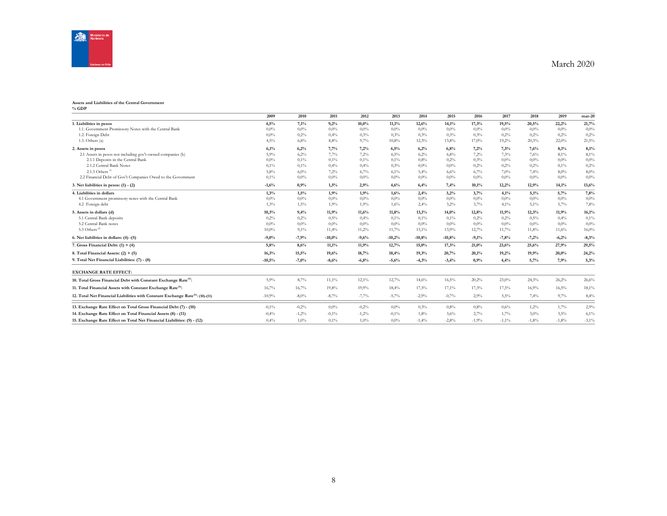

#### **Assets and Liabilities of the Central Government % GDP**

|                                                                                            | 2009     | 2010     | 2011     | 2012    | 2013     | 2014     | 2015     | 2016    | 2017     | 2018    | 2019    | $mar-20$ |
|--------------------------------------------------------------------------------------------|----------|----------|----------|---------|----------|----------|----------|---------|----------|---------|---------|----------|
| 1. Liabilities in pesos                                                                    | 4,5%     | 7,1%     | 9,2%     | 10,0%   | 11,1%    | 12,6%    | 14,1%    | 17,3%   | 19,5%    | 20,5%   | 22,2%   | 21,7%    |
| 1.1. Government Promissory Notes with the Central Bank                                     | $0.0\%$  | $0.0\%$  | 0,0%     | $0.0\%$ | 0.0%     | 0.0%     | $0.0\%$  | $0,0\%$ | $0.0\%$  | $0.0\%$ | $0.0\%$ | $0.0\%$  |
| 1.2. Foreign Debt                                                                          | $0.0\%$  | 0,2%     | 0.4%     | 0.3%    | 0,3%     | 0,3%     | 0.3%     | 0,3%    | 0.2%     | 0.2%    | 0.2%    | 0,2%     |
| 1.3. Others(a)                                                                             | 4,5%     | 6,8%     | 8,8%     | 9,7%    | 10,8%    | 12,3%    | 13,8%    | 17.0%   | 19,2%    | 20,3%   | 22,0%   | 21,5%    |
| 2. Assets in pesos                                                                         | 6,1%     | 6,2%     | 7,7%     | 7,2%    | 6,5%     | 6,2%     | 6,8%     | 7,2%    | 7,3%     | 7,6%    | 8,1%    | 8,1%     |
| 2.1 Assets in pesos not including gov't-owned companies (b)                                | 5,9%     | 6,2%     | 7,7%     | 7,2%    | 6.5%     | 6,2%     | 6.8%     | 7.2%    | 7.3%     | 7.6%    | 8.1%    | 8,1%     |
| 2.1.1 Deposits in the Central Bank                                                         | $0.0\%$  | 0,1%     | 0,1%     | $0.1\%$ | 0,1%     | 0.8%     | 0.2%     | 0.3%    | $0.0\%$  | $0.0\%$ | $0.0\%$ | $0.0\%$  |
| 2.1.2 Central Bank Notes                                                                   | $0,1\%$  | 0,1%     | 0.4%     | 0.4%    | 0,3%     | $0.0\%$  | $0.0\%$  | 0.2%    | 0.2%     | 0.2%    | $0.1\%$ | 0,2%     |
| 2.1.3 Others $\overset{\text{\tiny{(c)}}}{ }$                                              | 5,8%     | $6,0\%$  | 7,2%     | 6,7%    | 6,1%     | 5,4%     | 6,6%     | 6,7%    | 7.0%     | 7,4%    | $8.0\%$ | $8,0\%$  |
| 2.2 Financial Debt of Gov't Companies Owed to the Government                               | $0,1\%$  | $0.0\%$  | 0.0%     | $0.0\%$ | 0.0%     | $0.0\%$  | $0.0\%$  | $0.0\%$ | $0.0\%$  | $0.0\%$ | $0.0\%$ | $0,0\%$  |
| 3. Net liabilities in pesos: $(1) - (2)$                                                   | $-1,6%$  | 0,9%     | 1,5%     | 2,9%    | 4,6%     | 6,4%     | 7,4%     | 10,1%   | 12,2%    | 12,9%   | 14,1%   | 13,6%    |
| 4. Liabilities in dollars                                                                  | 1,3%     | 1,5%     | 1,9%     | 1,9%    | 1,6%     | 2,4%     | 3,2%     | 3,7%    | 4,1%     | 5,1%    | 5,7%    | 7,8%     |
| 4.1 Government promissory notes with the Central Bank                                      | $0.0\%$  | $0.0\%$  | 0.0%     | $0.0\%$ | 0,0%     | $0.0\%$  | $0.0\%$  | $0.0\%$ | $0.0\%$  | $0.0\%$ | $0.0\%$ | $0.0\%$  |
| 4.2 Foreign debt                                                                           | 1,3%     | 1,5%     | 1,9%     | 1,9%    | 1,6%     | 2,4%     | 3,2%     | 3,7%    | 4,1%     | 5,1%    | 5,7%    | 7,8%     |
| 5. Assets in dollars (d)                                                                   | 10,3%    | 9,4%     | 11,9%    | 11.6%   | 11,8%    | 13,1%    | 14.0%    | 12,8%   | 11,9%    | 12,3%   | 11.9%   | 16,1%    |
| 5.1 Central Bank deposits                                                                  | 0.2%     | 0.2%     | 0.5%     | 0.4%    | 0,1%     | 0,1%     | 0,1%     | 0,2%    | 0.2%     | 0.5%    | $0.4\%$ | 0,1%     |
| 5.2 Central Bank notes                                                                     | $0.0\%$  | $0.0\%$  | 0.0%     | $0.0\%$ | 0.0%     | $0.0\%$  | $0.0\%$  | $0.0\%$ | $0.0\%$  | $0.0\%$ | $0.0\%$ | $0.0\%$  |
| 5.3 Others $^{(d)}$                                                                        | 10,0%    | 9,1%     | 11,4%    | 11,2%   | 11,7%    | $13,1\%$ | 13,9%    | 12,7%   | 11,7%    | 11,8%   | 11,6%   | 16,0%    |
| 6. Net liabilities in dollars: (4) -(5)                                                    | $-9.0%$  | $-7,9%$  | $-10,0%$ | $-9.6%$ | $-10,2%$ | $-10.8%$ | $-10.8%$ | $-9.1%$ | $-7.8%$  | $-7,2%$ | $-6,2%$ | $-8,3%$  |
| 7. Gross Financial Debt: $(1) + (4)$                                                       | 5,8%     | 8,6%     | 11,1%    | 11,9%   | 12,7%    | 15,0%    | 17,3%    | 21,0%   | 23,6%    | 25,6%   | 27,9%   | 29,5%    |
| 8. Total Financial Assets: $(2) + (5)$                                                     | 16,3%    | 15,5%    | 19,6%    | 18,7%   | 18,4%    | 19,3%    | 20,7%    | 20,1%   | 19.2%    | 19.9%   | 20.0%   | 24,2%    |
| 9. Total Net Financial Liabilities: (7) - (8)                                              | $-10,5%$ | $-7,0%$  | $-8,6%$  | $-6,8%$ | $-5,6%$  | $-4,3%$  | $-3,4%$  | 0.9%    | 4,4%     | 5.7%    | 7.9%    | 5,3%     |
| <b>EXCHANGE RATE EFFECT:</b>                                                               |          |          |          |         |          |          |          |         |          |         |         |          |
| 10. Total Gross Financial Debt with Constant Exchange Rate <sup>(h)</sup> :                | 5,9%     | 8,7%     | 11,1%    | 12,1%   | 12,7%    | 14,6%    | 16,5%    | 20,2%   | 23,0%    | 24,3%   | 26,2%   | 26,6%    |
| 11. Total Financial Assets with Constant Exchange Rate <sup>(h)</sup> :                    | 16,7%    | 16,7%    | 19,8%    | 19,9%   | 18,4%    | 17,5%    | 17,1%    | 17,3%   | 17,5%    | 16,9%   | 16.5%   | 18,1%    |
| 12. Total Net Financial Liabilities with Constant Exchange Rate <sup>(h)</sup> : (10)-(11) | $-10,9%$ | $-8,0\%$ | $-8,7%$  | $-7,7%$ | $-5,7%$  | $-2,9%$  | $-0,7%$  | 2,9%    | 5,5%     | 7,4%    | 9,7%    | 8,4%     |
| 13. Exchange Rate Effect on Total Gross Financial Debt (7) - (10)                          | $-0.1\%$ | $-0,2%$  | 0,0%     | $-0.2%$ | 0.0%     | 0,3%     | $0.8\%$  | 0.8%    | 0.6%     | 1,2%    | 1.7%    | 2,9%     |
| 14. Exchange Rate Effect on Total Financial Assets (8) - (11)                              | $-0.4%$  | $-1,2%$  | $-0,1%$  | $-1,2%$ | $-0,1\%$ | 1,8%     | 3,6%     | 2,7%    | 1,7%     | 3.0%    | 3,5%    | 6,1%     |
| 15. Exchange Rate Effect on Total Net Financial Liabilities: (9) - (12)                    | 0.4%     | $1,0\%$  | 0,1%     | 1,0%    | 0.0%     | $-1,4%$  | $-2,8%$  | $-1,9%$ | $-1,1\%$ | $-1,8%$ | $-1,8%$ | $-3,1\%$ |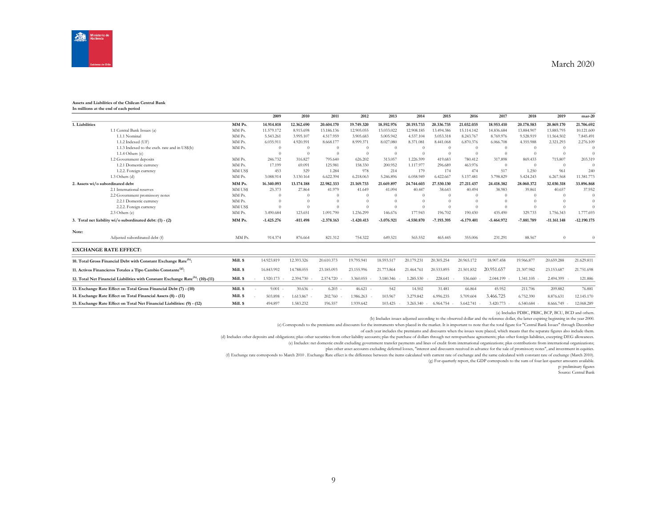

#### **Assets and Liabilities of the Chilean Central Bank In millions at the end of each period**

|                                  |                                                                                            |          | 2009         | 2010       | 2011         | 2012         | 2013         | 2014         | 2015         | 2016         | 2017           | 2018         | 2019          | $mar-20$      |
|----------------------------------|--------------------------------------------------------------------------------------------|----------|--------------|------------|--------------|--------------|--------------|--------------|--------------|--------------|----------------|--------------|---------------|---------------|
| 1. Liabilities                   |                                                                                            | MM Ps.   | 14.914.818   | 12.362.690 | 20.604.170   | 19.749.320   | 18.592.976   | 20.193.733   | 20.336.735   | 21.032.035   | 18.953.410     | 20.178.583   | 20.869.170    | 21.706.692    |
|                                  | 1.1 Central Bank Issues (a)                                                                | MM Ps.   | 11.579.172   | 8.915.698  | 13.186.136   | 12.905.055   | 13.033.022   | 12.908.185   | 13.494.386   | 15.114.142   | 14.836.684     | 13,884.907   | 13.885.795    | 10.121.600    |
|                                  | 1.1.1 Nominal                                                                              | MM Ps.   | 5.543.261    | 3.995.107  | 4.517.959    | 3.905.683    | 5.005.942    | 4.537.104    | 5.053.318    | 8.243.767    | 8.769.976      | 9.528.919    | 11.564.502    | 7.845.491     |
|                                  | 1.1.2 Indexed (UF)                                                                         | MM Ps.   | 6.035.911    | 4.920.591  | 8.668.177    | 8.999.371    | 8.027.080    | 8.371.081    | 8.441.068    | 6.870.376    | 6.066.708      | 4.355.988    | 2.321.293     | 2.276.109     |
|                                  | 1.1.3 Indexed to the exch. rate and in US\$(b)                                             | MM Ps.   | $\Omega$     |            |              |              |              | $\Omega$     | $\Omega$     |              | $\Omega$       |              | $\Omega$      |               |
|                                  | 1.1.4 Others $(c)$                                                                         |          | $\Omega$     |            | $\Omega$     | $\Omega$     |              | $\Omega$     | $\Omega$     | $\Omega$     | $\Omega$       |              | $\Omega$      | $\Omega$      |
|                                  | 1.2 Government deposits                                                                    | MM Ps.   | 246.732      | 316.827    | 795.640      | 626.202      | 313.057      | 1.226.599    | 419.683      | 780.412      | 317.898        | 869.433      | 715.807       | 203.319       |
|                                  | 1.2.1 Domestic currency                                                                    | MM Ps.   | 17.199       | 69.091     | 125.981      | 158,330      | 200.952      | 1.117.977    | 296.689      | 463.976      | $\overline{0}$ | $\Omega$     | $\Omega$      | $\Omega$      |
|                                  | 1.2.2. Foreign currency                                                                    | MM US\$  | 453          | 529        | 1.284        | 978          | 214          | 179          | 174          | 474          | 517            | 1.250        | 961           | 240           |
|                                  | 1.3 Others (d)                                                                             | MM Ps.   | 3.088.914    | 3.130.164  | 6.622.394    | 6.218.063    | 5.246.896    | 6.058.949    | 6.422.667    | 5.137.481    | 3.798.829      | 5.424.243    | 6.267.568     | 11.381.773    |
| 2. Assets wi/o subordinated debt |                                                                                            | MM Ps.   | 16.340.093   | 13.174.188 | 22.982.333   | 21.169.733   | 21.669.897   | 24,744,603   | 27.530.130   | 27.211.437   | 24.418.382     | 28.060.372   | 32.030.318    | 33.896.868    |
|                                  | 2.1 International reserves                                                                 | MM US\$  | 25.373       | 27.864     | 41.979       | 41.649       | 41.094       | 40.447       | 38.643       | 40.494       | 38.983         | 39.861       | 40.657        | 37.952        |
|                                  | 2.2 Government promissory notes                                                            | MM Ps.   | $\Omega$     |            | $\Omega$     |              | $\Omega$     | $\Omega$     | $\Omega$     | $\Omega$     | $\Omega$       | $\Omega$     | $\Omega$      | $\Omega$      |
|                                  | 2.2.1 Domestic currency                                                                    | MM Ps.   |              |            |              |              | $\Omega$     | $\Omega$     |              |              |                |              |               | $\Omega$      |
|                                  | 2.2.2. Foreign currency                                                                    | MM US\$  | $\Omega$     |            |              |              |              | $\Omega$     | $\Omega$     |              | $\Omega$       |              |               | $\Omega$      |
|                                  | 2.3 Others (e)                                                                             | MM Ps.   | 3.490.684    | 123.651    | 1.091.790    | 1.236.299    | 146.676      | 177,943      | 196.702      | 190.430      | 435.490        | 329,733      | 1.756.343     | 1.777.693     |
|                                  | 3. Total net liability wi/o subordinated debt: (1) - (2)                                   | MM Ps.   | $-1.425.276$ | $-811.498$ | $-2.378.163$ | $-1.420.413$ | $-3.076.921$ | $-4.550.870$ | $-7.193.395$ | $-6.179.401$ | $-5.464.972$   | $-7.881.789$ | $-11.161.148$ | $-12.190.175$ |
| Note:                            |                                                                                            |          |              |            |              |              |              |              |              |              |                |              |               |               |
|                                  | Adjusted subordinated debt (f)                                                             | MM Ps.   | 914.374      | 876.664    | 821.312      | 754.322      | 649.521      | 565.552      | 465.445      | 355.006      | 231.291        | 88.567       | $\theta$      | $\theta$      |
|                                  | <b>EXCHANGE RATE EFFECT:</b>                                                               |          |              |            |              |              |              |              |              |              |                |              |               |               |
|                                  | 10. Total Gross Financial Debt with Constant Exchange Rate <sup>(h)</sup> :                | Mill. \$ | 14.923.819   | 12.393.326 | 20.610.373   | 19.795.941   | 18.593.517   | 20.179.231   | 20.305.254   | 20.965.172   | 18,907.458     | 19.966.877   | 20.659.288    | 21.629.811    |
|                                  | 11. Activos Financieros Totales a Tipo Cambio Constante <sup>(g)</sup> :                   | Mill. \$ | 16.843.992   | 14.788.055 | 23.185.093   | 23.155.996   | 21.773.864   | 21.464.761   | 20.533.895   | 21.501.832   | 20.951.657     | 21.307.982   | 23.153.687    | 21.751.698    |
|                                  | 12. Total Net Financial Liabilities with Constant Exchange Rate <sup>(h)</sup> : (10)-(11) | Mill. \$ | 1.920.173    | 2.394.730  | 2.574.720    | 3.360.055    | 3.180.346    | 1.285.530    | 228.641      | 536.660      | 2.044.199      | 1.341.105    | 2.494.399     | 121.886       |
|                                  | 13. Exchange Rate Effect on Total Gross Financial Debt (7) - (10)                          | Mill. \$ | 9.001        | 30.636     | 6.203        | 46.621       | 542          | 14.502       | 31.481       | 66.864       | 45.952         | 211.706      | 209.882       | 76.881        |
|                                  | 14. Exchange Rate Effect on Total Financial Assets (8) - (11)                              | Mill. \$ | 503.898      | 1.613.867  | 202.760      | 1.986.263    | 103,967      | 3.279.842    | 6.996.235    | 5.709.604    | 3.466.725      | 6.752.390    | 8.876.631     | 12.145.170    |
|                                  | 15. Exchange Rate Effect on Total Net Financial Liabilities: (9) - (12)                    | Mill. \$ | 494.897      | 1.583.232  | 196.557      | 1.939.642    | 103.425      | 3.265.340    | 6.964.754    | 5.642.741    | 3.420.773      | 6.540.684    | 8.666.749     | 12.068.289    |

(a) Includes PDBC, PRBC, BCP, BCU, BCD and others.

(b) Includes issues adjusted according to the observed dollar and the reference dollar, the latter expiring beginning in the year 2000.

(c) Corresponds to the premiums and discounts for the instruments when placed in the market. It is important to note that the total figure for "Central Bank Issues" through December

of each year includes the premiums and discounts when the issues were placed, which means that the separate figures also include them.

(d) Includes other deposits and obligations; plus other securities from other liability accounts; plas the purchase of dollars through net retropurchase agreements; plus other foreign liabilities, excepting DEG allowances.

(e) Includes: net domestic credit excluding government transfer payments and lines of credit from international organizations; plus contributions from international organizations;

plus other asset accounts excluding deferred losses, "interest and discounts received in advance for the sale of promissory notes", and investment in equities.

(f) Exchange rate corresponds to March 2010 . Exchange Rate effect is the difference between the items calculated with current rate of exchange and the same calculated with constant rate of exchange (March 2010).

(g) For quarterly report, the GDP corresponds to the sum of four last quarter amounts available.

p: preliminary figures

Source: Central Bank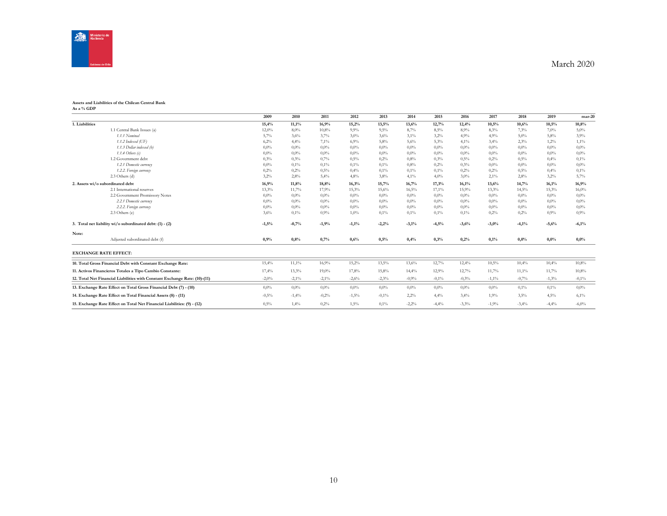

#### **Assets and Liabilities of the Chilean Central Bank As a % GDP**

|                |                                                                            | 2009    | 2010     | 2011     | 2012     | 2013     | 2014     | 2015    | 2016    | 2017     | 2018    | 2019     | mar-20   |
|----------------|----------------------------------------------------------------------------|---------|----------|----------|----------|----------|----------|---------|---------|----------|---------|----------|----------|
| 1. Liabilities |                                                                            | 15,4%   | 11,1%    | 16,9%    | 15,2%    | 13,5%    | 13,6%    | 12,7%   | 12,4%   | 10,5%    | 10,6%   | 10,5%    | 10,8%    |
|                | 1.1 Central Bank Issues (a)                                                | 12,0%   | 8,0%     | 10,8%    | 9,9%     | 9,5%     | 8,7%     | 8,5%    | 8,9%    | 8,3%     | 7,3%    | 7,0%     | $5,0\%$  |
|                | 1.1.1 Nominal                                                              | 5,7%    | 3,6%     | 3,7%     | 3,0%     | 3,6%     | $3,1\%$  | 3,2%    | 4,9%    | 4,9%     | $5,0\%$ | 5,8%     | 3.9%     |
|                | 1.1.2 Indexed (UF)                                                         | 6,2%    | 4,4%     | 7,1%     | 6,9%     | 5,8%     | 5,6%     | 5,3%    | 4,1%    | 3,4%     | 2,3%    | 1,2%     | 1,1%     |
|                | 1.1.3 Dollar indexed (b)                                                   | $0.0\%$ | $0.0\%$  | $0,0\%$  | 0.0%     | $0.0\%$  | $0,0\%$  | $0,0\%$ | $0.0\%$ | 0,0%     | $0.0\%$ | 0.0%     | $0.0\%$  |
|                | 1.1.4 Others $(c)$                                                         | $0.0\%$ | $0.0\%$  | $0,0\%$  | 0.0%     | $0.0\%$  | $0,0\%$  | $0,0\%$ | $0.0\%$ | 0,0%     | $0.0\%$ | 0.0%     | $0.0\%$  |
|                | 1.2 Government debt                                                        | 0.3%    | 0.3%     | 0,7%     | 0.5%     | 0,2%     | 0.8%     | 0,3%    | 0,5%    | 0,2%     | 0,5%    | 0,4%     | 0,1%     |
|                | 1.2.1 Domestic currency                                                    | $0.0\%$ | 0,1%     | 0,1%     | 0,1%     | 0,1%     | 0.8%     | 0,2%    | 0.3%    | 0.0%     | $0.0\%$ | 0.0%     | 0.0%     |
|                | 1.2.2. Foreign currency                                                    | 0.2%    | 0,2%     | 0,5%     | 0,4%     | 0,1%     | 0,1%     | 0,1%    | 0,2%    | 0,2%     | 0,5%    | 0,4%     | 0,1%     |
|                | 2.3 Others (d)                                                             | 3,2%    | 2,8%     | 5,4%     | 4,8%     | $3.8\%$  | 4,1%     | 4,0%    | 3,0%    | 2,1%     | 2,8%    | 3,2%     | 5,7%     |
|                | 2. Assets wi/o subordinated debt                                           | 16,9%   | 11,8%    | 18,8%    | 16,3%    | 15,7%    | 16,7%    | 17,3%   | 16,1%   | 13,6%    | 14,7%   | 16,1%    | 16,9%    |
|                | 2.1 International reserves                                                 | 13,3%   | 11,7%    | 17,9%    | 15,3%    | 15,6%    | 16,5%    | 17,1%   | 15,9%   | 13,3%    | 14,5%   | 15,3%    | 16,0%    |
|                | 2.2 Government Promissory Notes                                            | $0.0\%$ | $0.0\%$  | $0,0\%$  | 0.0%     | $0.0\%$  | $0.0\%$  | $0,0\%$ | $0.0\%$ | 0,0%     | $0.0\%$ | 0.0%     | $0.0\%$  |
|                | 2.2.1 Domestic currency                                                    | $0.0\%$ | $0.0\%$  | $0,0\%$  | 0.0%     | $0,0\%$  | $0,0\%$  | $0,0\%$ | $0.0\%$ | 0,0%     | $0.0\%$ | 0.0%     | 0.0%     |
|                | 2.2.2. Foreign currency                                                    | $0.0\%$ | $0.0\%$  | $0,0\%$  | 0.0%     | $0.0\%$  | $0,0\%$  | $0,0\%$ | $0.0\%$ | 0,0%     | $0.0\%$ | 0.0%     | 0.0%     |
|                | 2.3 Others (e)                                                             | 3,6%    | 0,1%     | 0,9%     | 1,0%     | $0.1\%$  | 0,1%     | 0,1%    | 0,1%    | 0,2%     | 0,2%    | 0,9%     | 0,9%     |
|                | 3. Total net liability wi/o subordinated debt: (1) - (2)                   | $-1,5%$ | $-0,7%$  | $-1,9%$  | $-1,1\%$ | $-2,2%$  | $-3,1%$  | $-4,5%$ | $-3,6%$ | $-3,0%$  | $-4,1%$ | $-5,6%$  | $-6,1%$  |
| Note:          |                                                                            |         |          |          |          |          |          |         |         |          |         |          |          |
|                | Adjusted subordinated debt (f)                                             | 0,9%    | 0,8%     | 0,7%     | 0,6%     | 0,5%     | 0,4%     | 0,3%    | 0,2%    | 0,1%     | 0,0%    | 0,0%     | 0,0%     |
|                | <b>EXCHANGE RATE EFFECT:</b>                                               |         |          |          |          |          |          |         |         |          |         |          |          |
|                | 10. Total Gross Financial Debt with Constant Exchange Rate:                | 15,4%   | $11,1\%$ | 16,9%    | 15,2%    | 13,5%    | 13,6%    | 12,7%   | 12,4%   | 10,5%    | 10,4%   | 10,4%    | 10,8%    |
|                | 11. Activos Financieros Totales a Tipo Cambio Constante:                   | 17,4%   | 13,3%    | 19,0%    | 17,8%    | 15,8%    | 14,4%    | 12,9%   | 12,7%   | 11,7%    | 11,1%   | 11,7%    | 10,8%    |
|                | 12. Total Net Financial Liabilities with Constant Exchange Rate: (10)-(11) | $-2,0%$ | $-2,1%$  | $-2,1\%$ | $-2,6%$  | $-2,3%$  | $-0,9%$  | $-0,1%$ | $-0,3%$ | $-1,1\%$ | $-0,7%$ | $-1,3\%$ | $-0,1\%$ |
|                | 13. Exchange Rate Effect on Total Gross Financial Debt (7) - (10)          | $0.0\%$ | $0.0\%$  | $0,0\%$  | 0.0%     | $0.0\%$  | $0.0\%$  | $0,0\%$ | $0.0\%$ | 0.0%     | $0.1\%$ | 0,1%     | $0.0\%$  |
|                | 14. Exchange Rate Effect on Total Financial Assets (8) - (11)              | $-0,5%$ | $-1,4%$  | $-0.2%$  | $-1,5%$  | $-0.1\%$ | 2,2%     | 4,4%    | 3,4%    | 1,9%     | 3,5%    | 4,5%     | 6,1%     |
|                | 15. Exchange Rate Effect on Total Net Financial Liabilities: (9) - (12)    | 0,5%    | 1,4%     | 0,2%     | 1,5%     | 0,1%     | $-2,2\%$ | $-4,4%$ | $-3,3%$ | $-1,9%$  | $-3,4%$ | $-4,4%$  | $-6,0\%$ |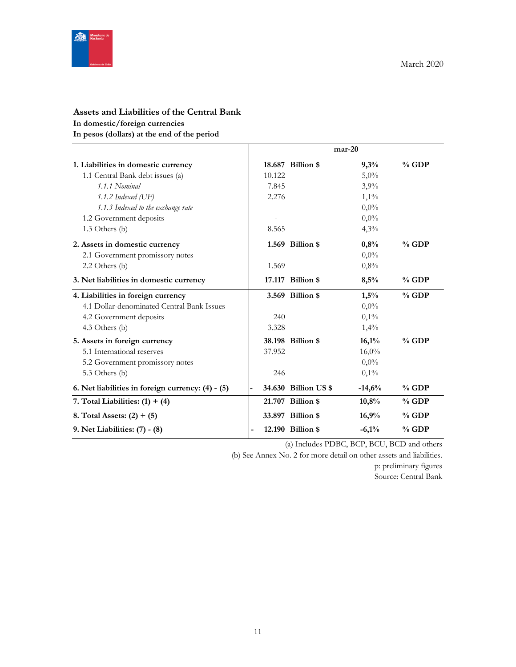

# **Assets and Liabilities of the Central Bank In domestic/foreign currencies**

**In pesos (dollars) at the end of the period**

|                                                   |                |                      | $mar-20$ |         |
|---------------------------------------------------|----------------|----------------------|----------|---------|
| 1. Liabilities in domestic currency               |                | 18.687 Billion \$    | 9,3%     | $%$ GDP |
| 1.1 Central Bank debt issues (a)                  | 10.122         |                      | $5,0\%$  |         |
| 1.1.1 Nominal                                     | 7.845          |                      | 3,9%     |         |
| 1.1.2 Indexed (UF)                                | 2.276          |                      | $1,1\%$  |         |
| 1.1.3 Indexed to the exchange rate                |                |                      | $0,0\%$  |         |
| 1.2 Government deposits                           |                |                      | $0,0\%$  |         |
| 1.3 Others (b)                                    | 8.565          |                      | 4,3%     |         |
| 2. Assets in domestic currency                    |                | 1.569 Billion \$     | 0,8%     | $%$ GDP |
| 2.1 Government promissory notes                   |                |                      | $0.0\%$  |         |
| 2.2 Others (b)                                    | 1.569          |                      | 0,8%     |         |
| 3. Net liabilities in domestic currency           |                | 17.117 Billion \$    | 8,5%     | $%$ GDP |
| 4. Liabilities in foreign currency                |                | 3.569 Billion \$     | 1,5%     | $%$ GDP |
| 4.1 Dollar-denominated Central Bank Issues        |                |                      | $0,0\%$  |         |
| 4.2 Government deposits                           | 240            |                      | 0,1%     |         |
| 4.3 Others (b)                                    | 3.328          |                      | 1,4%     |         |
| 5. Assets in foreign currency                     |                | 38.198 Billion \$    | 16,1%    | % GDP   |
| 5.1 International reserves                        | 37.952         |                      | 16,0%    |         |
| 5.2 Government promissory notes                   |                |                      | $0.0\%$  |         |
| 5.3 Others (b)                                    | 246            |                      | $0,1\%$  |         |
| 6. Net liabilities in foreign currency: (4) - (5) |                | 34.630 Billion US \$ | $-14,6%$ | $%$ GDP |
| 7. Total Liabilities: $(1) + (4)$                 |                | 21.707 Billion \$    | 10,8%    | $%$ GDP |
| 8. Total Assets: $(2) + (5)$                      |                | 33.897 Billion \$    | 16,9%    | $%$ GDP |
| 9. Net Liabilities: (7) - (8)                     | $\blacksquare$ | 12.190 Billion \$    | $-6,1%$  | $%$ GDP |

(a) Includes PDBC, BCP, BCU, BCD and others

(b) See Annex No. 2 for more detail on other assets and liabilities.

p: preliminary figures

Source: Central Bank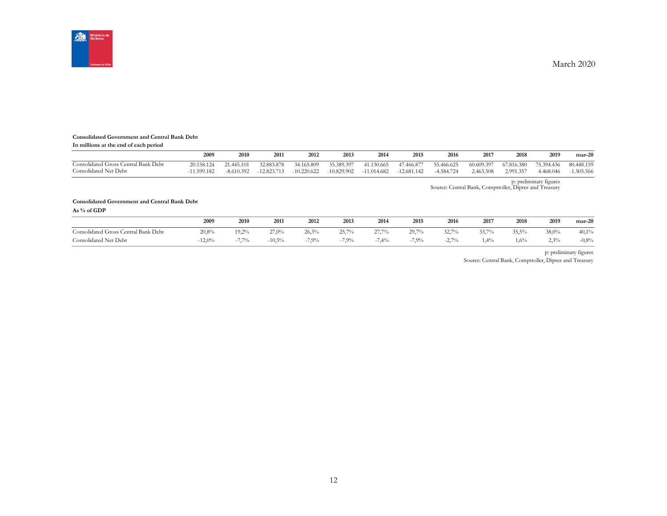

#### **Consolidated Government and Central Bank Debt**

**In millions at the end of each period**

|                                      | 2009       | 2010         | 2011          | 2012          | 2013       | 2014          | 2015          | 2016       | 2017       | 2018       | 2019       | $mar-20$   |
|--------------------------------------|------------|--------------|---------------|---------------|------------|---------------|---------------|------------|------------|------------|------------|------------|
| Consolidated Gross Central Bank Debt | 20.158.124 | 21.445.101   | 32.883.878    | 34.165.809    | 35.389.397 | 41.130.665    | 47.466.877    | 55.466.625 | 60.609.397 | 67.816.380 | 75.394.436 | 80.448.159 |
| Consolidated Net Debt                | 1.599.182  | $-8.610.392$ | $-12.823.713$ | $-10.220.622$ | 10.829.902 | $-11.014.682$ | $-12.681.142$ | 4.584.724  | 2.463.508  | 2.991.357  | 4.468.046  | 1.505.566  |

p: preliminary figures Source: Central Bank, Comptroller, Dipres and Treasury

#### **Consolidated Government and Central Bank Debt**

**As % of GDP**

|                                      | 2009     | 2010                      | 2011      | 2012  | 2013    | 2014            | 2015                          | 2016                   | 2017    | 2018   | 2019       | $mar-20$ |
|--------------------------------------|----------|---------------------------|-----------|-------|---------|-----------------|-------------------------------|------------------------|---------|--------|------------|----------|
| Consolidated Gross Central Bank Debt | 20,8%    | 19,2%                     | 27,0%     | 26,3% | 25,7%   | 27,7%           | 29,7%                         | 22.70/<br>22,1         | 22.70   | 35,5%  | 38,0%      | 40,1%    |
| Consolidated Net Debt                | $-12,0%$ | 7.70/<br>$-1$ , $1$ , $1$ | $-10,5\%$ | 7,9%  | $7.9\%$ | 7.40<br>(1, 47) | 7.00 <sub>4</sub><br>$-1.9\%$ | 270/<br>$-L_{\bullet}$ | $4.4\%$ | $.6\%$ | 220<br>رہے | $-0.8%$  |

p: preliminary figures

Source: Central Bank, Comptroller, Dipres and Treasury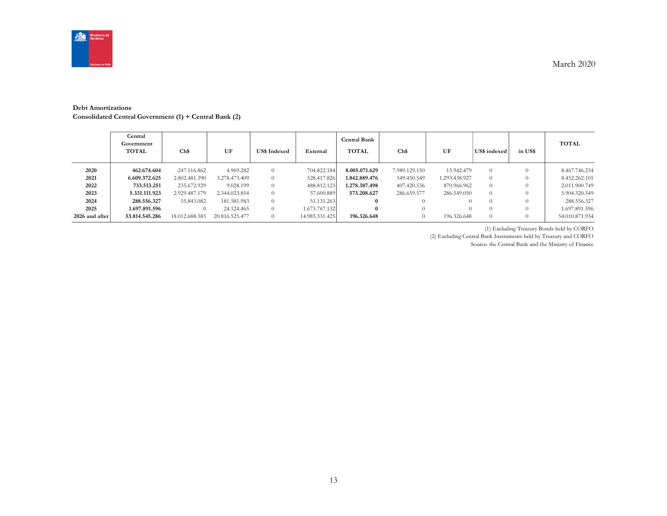

#### **Debt Amortizations Consolidated Central Government (1) + Central Bank (2)**

|                | Central<br>Government<br>TOTAL | Ch\$           | UF             | <b>US\$</b> Indexed | External       | Central Bank<br><b>TOTAL</b> | Ch\$          | UF            | US\$ indexed | in US\$  | <b>TOTAL</b>   |
|----------------|--------------------------------|----------------|----------------|---------------------|----------------|------------------------------|---------------|---------------|--------------|----------|----------------|
| 2020           | 462.674.604                    | $-247.116.862$ | 4.969.282      | $\Omega$            | 704.822.184    | 8.005.071.629                | 7.989.129.150 | 15.942.479    | $\Omega$     | $\Omega$ | 8.467.746.234  |
| 2021           | 6.609.372.625                  | 2.802.481.390  | 3.278.473.409  | $\Omega$            | 528.417.826    | 1.842.889.476                | 549.450.549   | 1.293.438.927 | $\Omega$     |          | 8.452.262.101  |
| 2022           | 733.513.251                    | 235.672.929    | 9.028.199      | $\Omega$            | 488.812.123    | 1.278.387.498                | 407.420.536   | 870.966.962   | $\Omega$     |          | 2.011.900.749  |
| 2023           | 5.331.111.923                  | 2.929.487.179  | 2.344.023.854  | $\Omega$            | 57.600.889     | 573.208.627                  | 286.659.577   | 286.549.050   | $\Omega$     |          | 5.904.320.549  |
| 2024           | 288.556.327                    | 55.843.082     | 181.581.983    | $\Omega$            | 51.131.263     |                              | $\Omega$      |               |              |          | 288.556.327    |
| 2025           | 1.697.891.596                  |                | 24.124.465     | $\Omega$            | 1.673.767.132  |                              | $\Omega$      |               |              |          | 1.697.891.596  |
| 2026 and after | 53.814.545.286                 | 18.012.688.383 | 20.816.525.477 | $\Omega$            | 14.985.331.425 | 196.326.648                  | $\theta$      | 196.326.648   | $\Omega$     |          | 54.010.871.934 |

(1) Excluding Treasury Bonds held by CORFO

(2) Excluding Central Bank Instruments held by Treasury and CORFO

Source: the Central Bank and the Ministry of Finance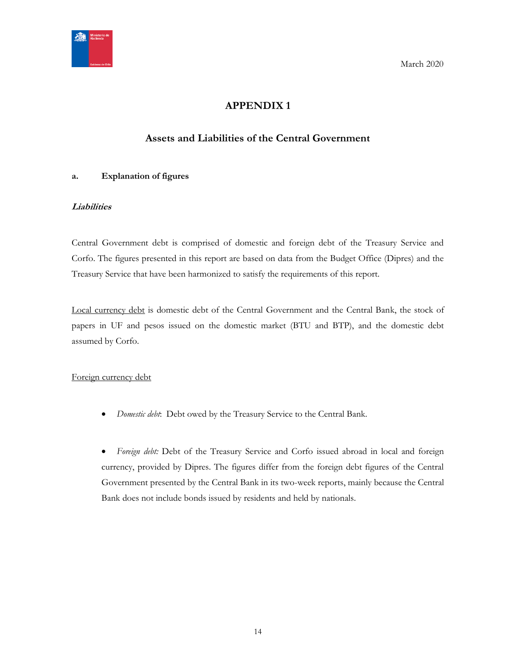<span id="page-13-0"></span>

# **APPENDIX 1**

# **Assets and Liabilities of the Central Government**

## <span id="page-13-1"></span>**a. Explanation of figures**

## **Liabilities**

Central Government debt is comprised of domestic and foreign debt of the Treasury Service and Corfo. The figures presented in this report are based on data from the Budget Office (Dipres) and the Treasury Service that have been harmonized to satisfy the requirements of this report.

Local currency debt is domestic debt of the Central Government and the Central Bank, the stock of papers in UF and pesos issued on the domestic market (BTU and BTP), and the domestic debt assumed by Corfo.

## Foreign currency debt

*Domestic debt*: Debt owed by the Treasury Service to the Central Bank.

 *Foreign debt:* Debt of the Treasury Service and Corfo issued abroad in local and foreign currency, provided by Dipres. The figures differ from the foreign debt figures of the Central Government presented by the Central Bank in its two-week reports, mainly because the Central Bank does not include bonds issued by residents and held by nationals.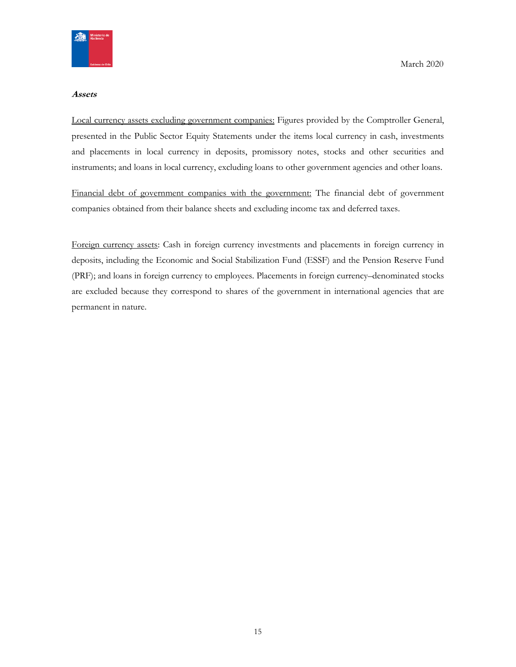

#### **Assets**

Local currency assets excluding government companies: Figures provided by the Comptroller General, presented in the Public Sector Equity Statements under the items local currency in cash, investments and placements in local currency in deposits, promissory notes, stocks and other securities and instruments; and loans in local currency, excluding loans to other government agencies and other loans.

Financial debt of government companies with the government: The financial debt of government companies obtained from their balance sheets and excluding income tax and deferred taxes.

Foreign currency assets: Cash in foreign currency investments and placements in foreign currency in deposits, including the Economic and Social Stabilization Fund (ESSF) and the Pension Reserve Fund (PRF); and loans in foreign currency to employees. Placements in foreign currency–denominated stocks are excluded because they correspond to shares of the government in international agencies that are permanent in nature.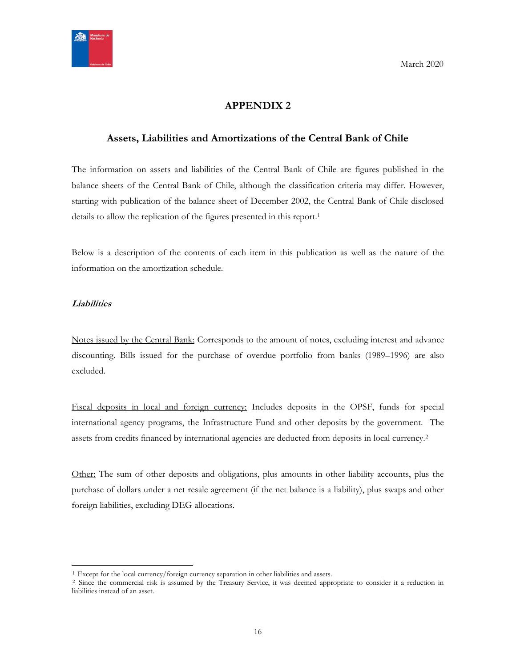

# **APPENDIX 2**

## <span id="page-15-1"></span><span id="page-15-0"></span>**Assets, Liabilities and Amortizations of the Central Bank of Chile**

The information on assets and liabilities of the Central Bank of Chile are figures published in the balance sheets of the Central Bank of Chile, although the classification criteria may differ. However, starting with publication of the balance sheet of December 2002, the Central Bank of Chile disclosed details to allow the replication of the figures presented in this report.<sup>1</sup>

Below is a description of the contents of each item in this publication as well as the nature of the information on the amortization schedule.

## **Liabilities**

 $\overline{a}$ 

Notes issued by the Central Bank: Corresponds to the amount of notes, excluding interest and advance discounting. Bills issued for the purchase of overdue portfolio from banks (1989–1996) are also excluded.

Fiscal deposits in local and foreign currency: Includes deposits in the OPSF, funds for special international agency programs, the Infrastructure Fund and other deposits by the government. The assets from credits financed by international agencies are deducted from deposits in local currency.<sup>2</sup>

Other: The sum of other deposits and obligations, plus amounts in other liability accounts, plus the purchase of dollars under a net resale agreement (if the net balance is a liability), plus swaps and other foreign liabilities, excluding DEG allocations.

<sup>&</sup>lt;sup>1</sup>. Except for the local currency/foreign currency separation in other liabilities and assets.

<sup>&</sup>lt;sup>2</sup> Since the commercial risk is assumed by the Treasury Service, it was deemed appropriate to consider it a reduction in liabilities instead of an asset.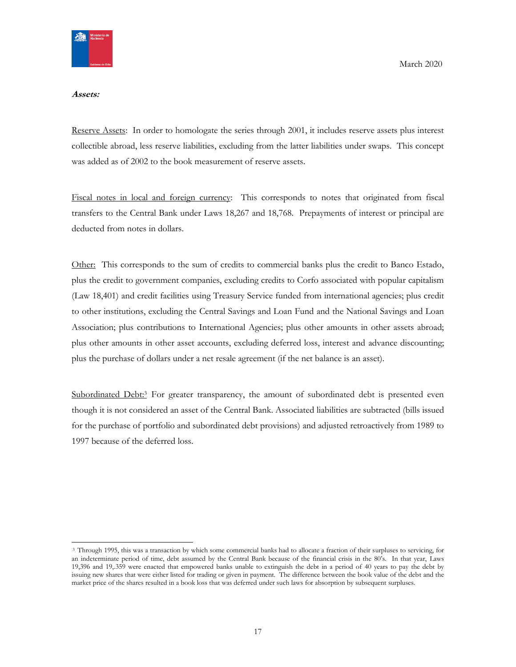

#### **Assets:**

Reserve Assets: In order to homologate the series through 2001, it includes reserve assets plus interest collectible abroad, less reserve liabilities, excluding from the latter liabilities under swaps. This concept was added as of 2002 to the book measurement of reserve assets.

Fiscal notes in local and foreign currency: This corresponds to notes that originated from fiscal transfers to the Central Bank under Laws 18,267 and 18,768. Prepayments of interest or principal are deducted from notes in dollars.

Other: This corresponds to the sum of credits to commercial banks plus the credit to Banco Estado, plus the credit to government companies, excluding credits to Corfo associated with popular capitalism (Law 18,401) and credit facilities using Treasury Service funded from international agencies; plus credit to other institutions, excluding the Central Savings and Loan Fund and the National Savings and Loan Association; plus contributions to International Agencies; plus other amounts in other assets abroad; plus other amounts in other asset accounts, excluding deferred loss, interest and advance discounting; plus the purchase of dollars under a net resale agreement (if the net balance is an asset).

Subordinated Debt:<sup>3</sup> For greater transparency, the amount of subordinated debt is presented even though it is not considered an asset of the Central Bank. Associated liabilities are subtracted (bills issued for the purchase of portfolio and subordinated debt provisions) and adjusted retroactively from 1989 to 1997 because of the deferred loss.

<sup>3</sup> Through 1995, this was a transaction by which some commercial banks had to allocate a fraction of their surpluses to servicing, for an indeterminate period of time, debt assumed by the Central Bank because of the financial crisis in the 80's. In that year, Laws 19,396 and 19,.359 were enacted that empowered banks unable to extinguish the debt in a period of 40 years to pay the debt by issuing new shares that were either listed for trading or given in payment. The difference between the book value of the debt and the market price of the shares resulted in a book loss that was deferred under such laws for absorption by subsequent surpluses.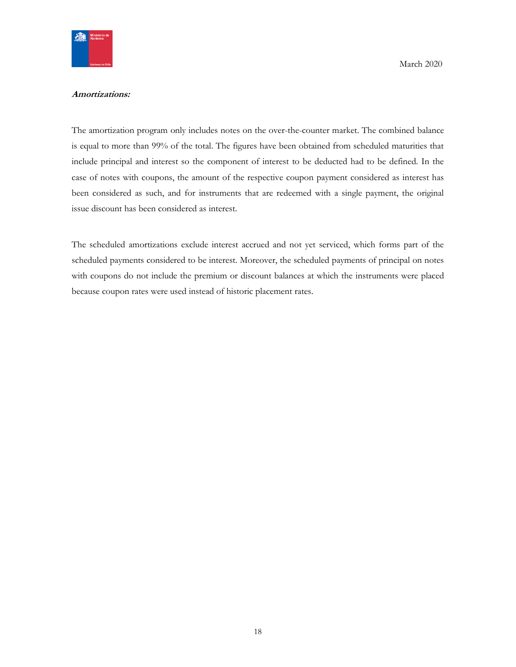

#### **Amortizations:**

The amortization program only includes notes on the over-the-counter market. The combined balance is equal to more than 99% of the total. The figures have been obtained from scheduled maturities that include principal and interest so the component of interest to be deducted had to be defined. In the case of notes with coupons, the amount of the respective coupon payment considered as interest has been considered as such, and for instruments that are redeemed with a single payment, the original issue discount has been considered as interest.

The scheduled amortizations exclude interest accrued and not yet serviced, which forms part of the scheduled payments considered to be interest. Moreover, the scheduled payments of principal on notes with coupons do not include the premium or discount balances at which the instruments were placed because coupon rates were used instead of historic placement rates.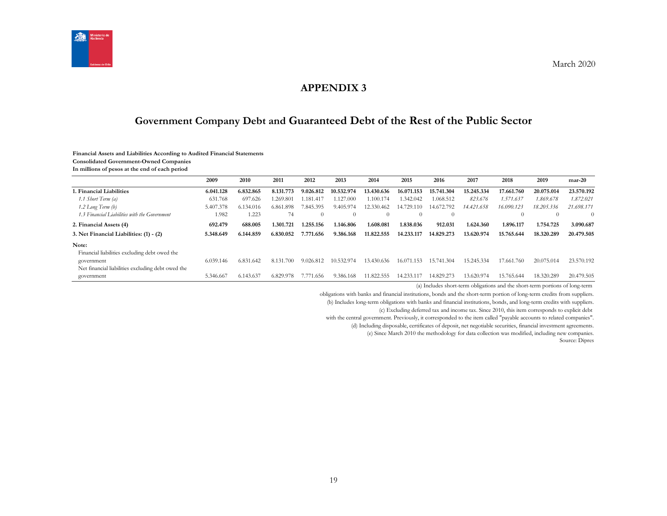

# **APPENDIX 3**

# **Government Company Debt and Guaranteed Debt of the Rest of the Public Sector**

#### **Financial Assets and Liabilities According to Audited Financial Statements**

**Consolidated Government-Owned Companies**

**In millions of pesos at the end of each period**

<span id="page-18-1"></span><span id="page-18-0"></span>

|                                                   | 2009      | 2010      | 2011          | 2012           | 2013       | 2014       | 2015           | 2016       | 2017       | 2018               | 2019       | $mar-20$   |
|---------------------------------------------------|-----------|-----------|---------------|----------------|------------|------------|----------------|------------|------------|--------------------|------------|------------|
| 1. Financial Liabilities                          | 6.041.128 | 6.832.865 | 8.131.773     | 9.026.812      | 10.532.974 | 13.430.636 | 16.071.153     | 15.741.304 | 15.245.334 | 17.661.760         | 20.075.014 | 23.570.192 |
| 1.1 Short Term (a)                                | 631.768   | 697.626   | .269.801      | 1.181.417      | .127.000   | 1.100.174  | 1.342.042      | 1.068.512  | 823.676    | 1.571.637          | 1.869.678  | 1.872.021  |
| $1.2$ Long Term $(b)$                             | 5.407.378 | 6.134.016 | 6.861.898     | 7.845.395      | 9.405.974  | 12.330.462 | 14.729.<br>110 | 14.672.792 | 14.421.658 | 16.090.123         | 18.205.336 | 21.698.171 |
| 1.3 Financial Liabilities with the Government     | 1.982     | 1.223     | 74            | $\Omega$       | $\theta$   |            | $\Omega$       | $\theta$   |            | $\left( 0 \right)$ | $\Omega$   | $\Omega$   |
| 2. Financial Assets (4)                           | 692.479   | 688.005   | 1.301.721     | 1.255.156      | 1.146.806  | 1.608.081  | 1.838.036      | 912.031    | 1.624.360  | 1.896.117          | 1.754.725  | 3.090.687  |
| 3. Net Financial Liabilities: (1) - (2)           | 5.348.649 | 6.144.859 | 6.830.052     | 7.771<br>1.656 | 9.386.168  | 11.822.555 | 14.233.117     | 14.829.273 | 13.620.974 | 15.765.644         | 18.320.289 | 20.479.505 |
| Note:                                             |           |           |               |                |            |            |                |            |            |                    |            |            |
| Financial liabilities excluding debt owed the     |           |           |               |                |            |            |                |            |            |                    |            |            |
| government                                        | 6.039.146 | 6.831.642 | 8.131.<br>700 | 9.026.812      | 10.532.974 | 13.430.636 | 16.071.153     | 15.741.304 | 15.245.334 | 17.661.760         | 20.075.014 | 23.570.192 |
| Net financial liabilities excluding debt owed the |           |           |               |                |            |            |                |            |            |                    |            |            |
| government                                        | 5.346.667 | 6.143.637 | 6.829.978     | 1.656<br>7.77  | 9.386.168  | 1.822.555  | 4.233.1        | 14.829.273 | 13.620.974 | 15.765.644         | 18.320.289 | 20.479.505 |

(a) Includes short-term obligations and the short-term portions of long-term

obligations with banks and financial institutions, bonds and the short-term portion of long-term credits from suppliers.

(b) Includes long-term obligations with banks and financial institutions, bonds, and long-term credits with suppliers.

(c) Excluding deferred tax and income tax. Since 2010, this item corresponds to explicit debt

with the central government. Previously, it corresponded to the item called "payable accounts to related companies".

(d) Including disposable, certificates of deposit, net negotiable securities, financial investment agreements.

(e) Since March 2010 the methodology for data collection was modified, including new companies.

Source: Dipres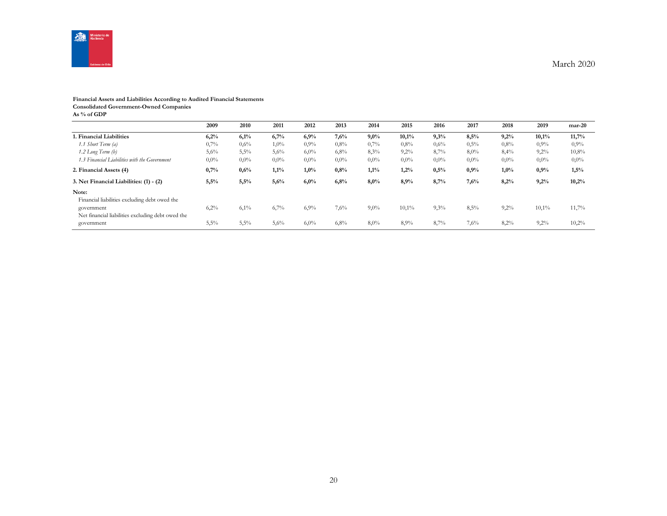

## **Financial Assets and Liabilities According to Audited Financial Statements**

**Consolidated Government-Owned Companies**

**As % of GDP**

|                                                                 | 2009    | 2010    | 2011    | 2012    | 2013    | 2014    | 2015    | 2016    | 2017    | 2018    | 2019    | $mar-20$ |
|-----------------------------------------------------------------|---------|---------|---------|---------|---------|---------|---------|---------|---------|---------|---------|----------|
| 1. Financial Liabilities                                        | 6,2%    | 6,1%    | 6,7%    | 6,9%    | 7,6%    | 9,0%    | 10,1%   | 9,3%    | 8,5%    | 9,2%    | 10,1%   | 11,7%    |
| 1.1 Short Term (a)                                              | 0,7%    | $0.6\%$ | $1,0\%$ | $0.9\%$ | 0,8%    | 0,7%    | 0.8%    | 0,6%    | 0,5%    | 0,8%    | $0.9\%$ | 0,9%     |
| 1.2 Long Term (b)                                               | 5,6%    | 5,5%    | 5,6%    | $6,0\%$ | 6,8%    | 8,3%    | $9,2\%$ | 8,7%    | 8,0%    | 8,4%    | 9,2%    | 10,8%    |
| 1.3 Financial Liabilities with the Government                   | $0.0\%$ | $0.0\%$ | $0.0\%$ | $0,0\%$ | $0,0\%$ | $0.0\%$ | $0.0\%$ | $0,0\%$ | $0.0\%$ | $0,0\%$ | $0.0\%$ | $0,0\%$  |
| 2. Financial Assets (4)                                         | 0,7%    | 0,6%    | 1,1%    | 1,0%    | 0,8%    | 1,1%    | 1,2%    | 0,5%    | 0.9%    | 1,0%    | 0,9%    | 1,5%     |
| 3. Net Financial Liabilities: (1) - (2)                         | 5,5%    | 5,5%    | 5,6%    | 6,0%    | 6,8%    | 8,0%    | 8,9%    | 8,7%    | 7,6%    | 8,2%    | 9,2%    | 10,2%    |
| Note:<br>Financial liabilities excluding debt owed the          |         |         |         |         |         |         |         |         |         |         |         |          |
| government<br>Net financial liabilities excluding debt owed the | 6,2%    | $6,1\%$ | 6,7%    | 6,9%    | 7,6%    | $9,0\%$ | 10,1%   | 9,3%    | 8,5%    | 9,2%    | 10,1%   | 11,7%    |
| government                                                      | 5,5%    | 5,5%    | 5,6%    | $6,0\%$ | 6,8%    | 8,0%    | 8.9%    | 8,7%    | 7,6%    | 8,2%    | 9,2%    | 10,2%    |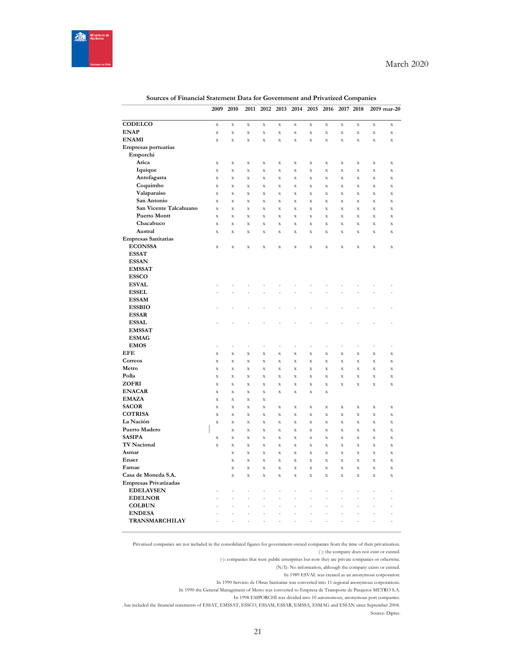

|                                | 2009                              | 2010                            | 2011                     | 2012                     | 2013                       | 2014                              | 2015                              | 2016                    | 2017                    | 2018                            |                                   | 2019 mar-20             |
|--------------------------------|-----------------------------------|---------------------------------|--------------------------|--------------------------|----------------------------|-----------------------------------|-----------------------------------|-------------------------|-------------------------|---------------------------------|-----------------------------------|-------------------------|
|                                |                                   |                                 |                          |                          |                            |                                   |                                   |                         |                         |                                 |                                   |                         |
| <b>CODELCO</b>                 | $\mathbf X$                       | $\mathbf X$                     | $\mathbf X$              | $\bar{X}$                | X                          | X                                 | $\bf{X}$                          | X                       | $\mathbf X$             | $\mathbf X$                     | $\mathbf X$                       | $\mathbf X$             |
| <b>ENAP</b>                    | $\bar{\mathbf{X}}$                | $\bar{X}$                       | $\mathbf X$              | $\bar{X}$                | $\mathbf X$                | $\mathbf X$                       | $\mathbf X$                       | X                       | $\bar{X}$               | $\bar{X}$                       | $\mathbf X$                       | $\mathbf X$             |
| <b>ENAMI</b>                   | $\bar{\mathbf{X}}$                | $\bar{X}$                       | $\mathbf X$              | $\bar{X}$                | $\mathbf X$                | $\mathbf X$                       | $\bar{X}$                         | X                       | $\bar{X}$               | $\bar{X}$                       | $\bar{\mathbf{X}}$                | X                       |
| Empresas portuarias            |                                   |                                 |                          |                          |                            |                                   |                                   |                         |                         |                                 |                                   |                         |
| Emporchi                       |                                   |                                 |                          |                          |                            |                                   |                                   |                         |                         |                                 |                                   |                         |
| Arica                          | $\mathbf X$                       | $\mathbf X$                     | $\mathbf X$              | $\mathbf X$              | $\mathbf X$                | $\mathbf X$                       | $\mathbf X$                       | X                       | $\mathbf X$             | $\mathbf X$                     | $\mathbf X$                       | $\mathbf X$             |
| Iquique                        | $\bar{\mathbf{x}}$                | $\bar{\mathbf{x}}$              | $\bar{\mathbf{x}}$       | $\bar{\mathbf{x}}$       | $\mathbf X$                | $\mathbf X$                       | $\mathbf X$                       | $\mathbf x$             | $\bar{\mathbf{x}}$      | $\bar{\mathbf{x}}$              | $\bar{\mathbf{x}}$                | $\mathbf X$             |
| Antofagasta<br>Coquimbo        | $\mathbf X$                       | $\mathbf X$                     | $\mathbf X$              | $\mathbf X$              | $\mathbf X$                | $\mathbf X$                       | $\mathbf x$                       | X                       | $\bar{X}$               | $\mathbf X$                     | $\mathbf X$                       | $\mathbf X$             |
| Valaparaíso                    | $\mathbf X$<br>$\bar{\mathbf{x}}$ | $\bar{X}$<br>$\bar{\mathbf{x}}$ | $\mathbf X$<br>$\bar{X}$ | X<br>$\bar{\mathbf{x}}$  | $\mathbf X$<br>$\mathbf X$ | $\mathbf X$<br>$\bar{\mathbf{X}}$ | $\mathbf X$<br>$\bar{\mathbf{X}}$ | X<br>$\bar{\mathbf{X}}$ | X<br>$\bar{\mathbf{x}}$ | $\bar{X}$<br>$\bar{\mathbf{x}}$ | $\mathbf X$<br>$\bar{\mathbf{x}}$ | X<br>$\bar{\mathbf{x}}$ |
| San Antonio                    | $\mathbf X$                       | $\mathbf X$                     | $\mathbf X$              | $\mathbf X$              | $\mathbf X$                | $\mathbf X$                       | $\mathbf X$                       | X                       | X                       | $\mathbf X$                     | $\mathbf X$                       | X                       |
| San Vicente Talcahuano         | $\bar{\mathbf{x}}$                | $\bar{\mathbf{x}}$              | $\mathbf X$              | $\bar{\mathbf{x}}$       | $\mathbf X$                | $\mathbf X$                       | $\mathbf X$                       | $\mathbf X$             | $\bar{X}$               | $\mathbf X$                     | $\mathbf X$                       | $\bar{\mathbf{x}}$      |
| <b>Puerto Montt</b>            | $\mathbf X$                       | $\mathbf X$                     | $\mathbf X$              | $\mathbf X$              | $\mathbf X$                | $\mathbf X$                       | $\mathbf X$                       | $\mathbf X$             | $\mathbf X$             | $\mathbf X$                     | X                                 | $\mathbf X$             |
| Chacabuco                      | $\bar{\mathbf{X}}$                | $\mathbf X$                     | $\mathbf X$              | $\mathbf X$              | $\mathbf X$                | $\mathbf X$                       | $\mathbf X$                       | $\mathbf X$             | $\bar{X}$               | $\bar{X}$                       | X                                 | X                       |
| Austral                        | X                                 | $\mathbf X$                     | $\mathbf X$              | $\mathbf X$              | $\mathbf X$                | $\mathbf X$                       | $\bf{X}$                          | X                       | $\mathbf X$             | $\mathbf X$                     | $\mathbf X$                       | $\mathbf X$             |
| <b>Empresas Sanitarias</b>     |                                   |                                 |                          |                          |                            |                                   |                                   |                         |                         |                                 |                                   |                         |
| <b>ECONSSA</b>                 | $\mathbf X$                       | $\mathbf x$                     | $\bar{X}$                | $\bar{X}$                | $\bar{\mathbf{x}}$         | $\mathbf X$                       | $\bar{X}$                         | $\bar{X}$               | $\bar{X}$               | $\bar{\mathbf{x}}$              | $\bar{X}$                         | $\mathbf X$             |
| <b>ESSAT</b>                   |                                   |                                 |                          |                          |                            |                                   |                                   |                         |                         |                                 |                                   |                         |
| <b>ESSAN</b>                   |                                   |                                 |                          |                          |                            |                                   |                                   |                         |                         |                                 |                                   |                         |
| <b>EMSSAT</b>                  |                                   |                                 |                          |                          |                            |                                   |                                   |                         |                         |                                 |                                   |                         |
| <b>ESSCO</b>                   |                                   |                                 |                          |                          |                            |                                   |                                   |                         |                         |                                 |                                   |                         |
| <b>ESVAL</b>                   |                                   |                                 |                          |                          |                            |                                   |                                   |                         |                         |                                 |                                   |                         |
| <b>ESSEL</b>                   |                                   |                                 |                          |                          |                            |                                   |                                   |                         |                         |                                 |                                   |                         |
| <b>ESSAM</b>                   |                                   |                                 |                          |                          |                            |                                   |                                   |                         |                         |                                 |                                   |                         |
| <b>ESSBIO</b>                  |                                   |                                 |                          |                          |                            |                                   |                                   |                         |                         |                                 |                                   |                         |
| <b>ESSAR</b>                   |                                   |                                 |                          |                          |                            |                                   |                                   |                         |                         |                                 |                                   |                         |
| <b>ESSAL</b>                   |                                   |                                 |                          |                          |                            |                                   |                                   |                         |                         |                                 |                                   | -                       |
| <b>EMSSAT</b>                  |                                   |                                 |                          |                          |                            |                                   |                                   |                         |                         |                                 |                                   |                         |
| <b>ESMAG</b>                   |                                   |                                 |                          |                          |                            |                                   |                                   |                         |                         |                                 |                                   |                         |
| <b>EMOS</b>                    | ÷,                                | j,                              | ÷                        | $\overline{a}$           | Ĭ.                         | Ĭ.                                | ÷                                 | Ĭ.                      | j,                      | Ĭ.                              | Ĭ.                                | ÷                       |
| <b>EFE</b>                     | $\bar{\mathbf{X}}$                | $\bar{X}$                       | $\mathbf X$              | $\bar{X}$                | $\mathbf X$                | X                                 | $\bf{X}$                          | $\bar{X}$               | $\bar{X}$               | $\bar{X}$                       | $\bar{\mathbf{X}}$                | $\mathbf X$             |
| Correos                        | $\mathbf X$                       | $\mathbf X$                     | $\mathbf X$              | $\mathbf X$              | $\mathbf X$                | $\mathbf X$                       | $\mathbf X$                       | X                       | $\bar{\mathbf{x}}$      | $\mathbf X$                     | X                                 | X                       |
| Metro                          | $\bar{\mathbf{X}}$                | $\bar{X}$                       | $\mathbf X$              | $\bar{X}$                | $\mathbf X$                | $\mathbf X$                       | $\mathbf X$                       | $\mathbf X$             | $\bar{X}$               | $\bar{X}$                       | $\bar{\mathbf{X}}$                | $\bar{X}$               |
| Polla                          | $\mathbf X$                       | $\mathbf X$                     | $\mathbf X$              | X                        | $\mathbf X$                | $\mathbf X$                       | $\mathbf X$                       | X                       | X                       | $\mathbf X$                     | X                                 | X                       |
| ZOFRI                          | $\bar{\mathbf{X}}$                | $\bar{X}$                       | $\mathbf X$              | $\bar{X}$                | $\mathbf X$                | $\mathbf X$                       | $\mathbf X$                       | $\mathbf X$             | $\bar{X}$               | $\bar{X}$                       | $\bar{\mathbf{X}}$                | $\mathbf X$             |
| <b>ENACAR</b>                  | $\mathbf X$                       | $\mathbf X$                     | $\mathbf X$              | $\mathbf X$              | $\mathbf X$                | $\mathbf X$                       | $\mathbf X$                       | $\mathbf X$             |                         |                                 |                                   |                         |
| <b>EMAZA</b>                   | $\mathbf X$                       | $\bar{\mathbf{x}}$              | $\mathbf X$              | $\bar{\mathbf{x}}$       |                            |                                   |                                   |                         |                         |                                 |                                   |                         |
| <b>SACOR</b>                   | $\mathbf X$                       | $\bar{X}$                       | $\mathbf X$              | $\bar{X}$                | X                          | X                                 | $\bf{X}$                          | $\mathbf X$             | $\bar{X}$               | $\mathbf X$                     | $\mathbf X$                       | $\mathbf X$             |
| <b>COTRISA</b>                 | $\mathbf X$                       | $\mathbf X$                     | $\mathbf X$              | X                        | $\mathbf X$                | $\mathbf X$                       | $\mathbf X$                       | X                       | X                       | $\mathbf X$                     | X                                 | X                       |
| La Nación                      | $\mathbf X$                       | $\mathbf X$                     | $\mathbf X$              | $\bar{X}$                | $\mathbf X$                | $\mathbf X$                       | $\bf{X}$                          | $\mathbf X$             | $\bar{X}$               | $\mathbf X$                     | $\mathbf X$                       | $\mathbf X$             |
| Puerto Madero                  |                                   | $\bar{X}$                       | $\mathbf X$              | X                        | $\mathbf X$                | $\mathbf X$                       | $\mathbf X$                       | $\mathbf X$             | $\bar{X}$               | $\bar{X}$                       | $\bar{\mathbf{X}}$                | X                       |
| <b>SASIPA</b>                  | $\mathbf X$                       | $\bar{X}$                       | $\bar{\mathbf{X}}$       | $\bar{X}$                | $\mathbf X$                | $\mathbf X$                       | $\mathbf X$                       | X                       | $\bar{X}$               | $\bar{X}$                       | $\bar{\mathbf{X}}$                | $\bar{X}$               |
| <b>TV Nacional</b>             | $\mathbf X$                       | $\mathbf X$                     | $\mathbf X$              | $\mathbf X$              | $\mathbf X$                | $\mathbf X$                       | $\mathbf X$                       | $\mathbf X$             | $\mathbf X$             | $\mathbf X$                     | $\mathbf X$                       | $\mathbf X$             |
| Asmar                          |                                   | $\bar{\mathbf{x}}$              | $\mathbf X$              | $\bar{\mathbf{x}}$       | $\mathbf X$                | $\mathbf X$                       | $\mathbf X$                       | $\bar{\mathbf{x}}$      | $\bar{\mathbf{x}}$      | $\bar{\mathbf{x}}$              | $\bar{\mathbf{x}}$                | $\bar{\mathbf{x}}$      |
| Enaer                          |                                   | $\bar{X}$                       | $\mathbf X$              | $\bar{X}$                | X                          | X                                 | $\bf{X}$                          | X                       | $\bar{X}$               | $\bar{X}$                       | X                                 | $\mathbf X$             |
| Famae                          |                                   | $\bar{\mathbf{x}}$              | $\bar{\mathbf{x}}$       | $\bar{\mathbf{x}}$       | $\mathbf X$                | $\mathbf X$                       | $\mathbf X$                       | $\mathbf x$             | $\bar{\mathbf{x}}$      | $\bar{\mathbf{x}}$              | X                                 | $\mathbf X$             |
| Casa de Moneda S.A.            |                                   | $\mathbf X$                     | $\mathbf X$              | $\mathbf X$              | $\mathbf X$                | $\mathbf X$                       | $\mathbf X$                       | $\mathbf X$             | $\mathbf X$             | $\mathbf X$                     | $\mathbf X$                       | $\mathbf X$             |
| <b>Empresas Privatizadas</b>   |                                   |                                 |                          |                          |                            |                                   |                                   |                         |                         |                                 |                                   |                         |
| <b>EDELAYSEN</b>               |                                   | -                               | ÷                        | $\overline{\phantom{0}}$ | ÷                          | $\overline{a}$                    | ÷                                 | ÷                       | -                       | ÷                               | -                                 | -                       |
| <b>EDELNOR</b>                 |                                   | $\overline{a}$                  | Ĭ.                       | $\overline{a}$           | ÷,                         | L,                                | Ĭ.                                | $\overline{a}$          | $\overline{a}$          | L,                              | Ĭ.                                | $\overline{a}$          |
| <b>COLBUN</b><br><b>ENDESA</b> |                                   |                                 | L,                       | $\overline{a}$           | L,                         | L,                                |                                   | L                       |                         |                                 |                                   |                         |
|                                |                                   | $\overline{a}$                  | ÷                        | $\overline{a}$           | ÷,                         | Ĭ.                                | Ĭ.                                | Ĭ.                      | ÷                       | Ĭ.                              | $\overline{a}$                    | $\overline{a}$          |
| TRANSMARCHILAY                 |                                   | ÷                               | L,                       | $\overline{a}$           | L,                         | L,                                | L,                                | L,                      | L                       | L,                              | L,                                | ÷,                      |

## **Sources of Financial Statement Data for Government and Privatized Companies**

Privatized companies are not included in the consolidated figures for government-owned companies from the time of their privatization. ( ): the company does not exist or existed.

(-): companies that were public enterprises but now they are private companies or otherwise.

(N/I): No information, although the company exists or existed.

In 1989 ESVAL was created as an anonymous corporation.

In 1990 Servicio de Obras Sanitarias was converted into 11 regional anonymous corporations.

In 1990 the General Management of Metro was converted to Empresa de Transporte de Pasajeros METRO S.A.

In 1998 EMPORCHI was divided into 10 autonomous, anonymous port companies.

ESSAN S. A. has included the financial statements of ESSAT, EMSSAT, ESSCO, ESSAM, ESSAR, EMSSA, ESMAG and ESSAN since September 2004. Source: Dipres.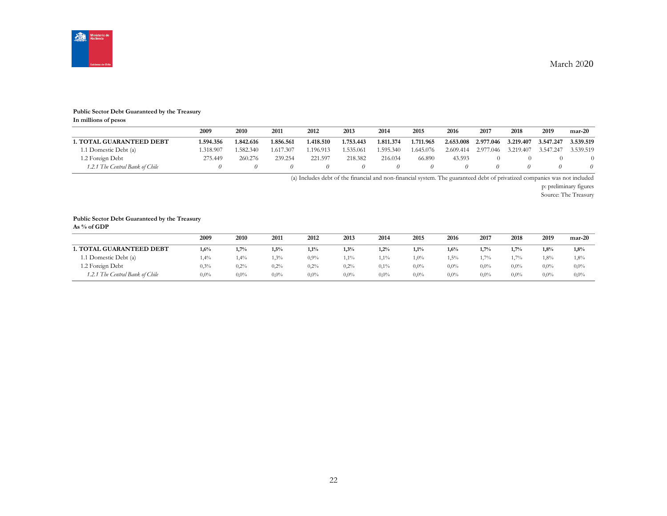

#### **Public Sector Debt Guaranteed by the Treasury**

**In millions of pesos**

|                                 | 2009      | 2010      | 2011      | 2012      | 2013      | 2014      | 2015      | 2016      | 2017      | 2018      | 2019      | $mar-20$  |
|---------------------------------|-----------|-----------|-----------|-----------|-----------|-----------|-----------|-----------|-----------|-----------|-----------|-----------|
| <b>1. TOTAL GUARANTEED DEBT</b> | 1.594.356 | 1.842.616 | .856.561  | 1.418.510 | 1.753.443 | 1.811.374 | 1.711.965 | 2.653.008 | 2.977.046 | 3.219.407 | 3.547.247 | 3.539.519 |
| 1.1 Domestic Debt (a)           | .318.907  | .582.340  | 1.617.307 | 1.196.913 | 1.535.061 | .595.340  | 1.645.076 | 2.609.414 | 2.977.046 | 3.219.407 | 3.547.247 | 3.539.519 |
| 1.2 Foreign Debt                | 275.449   | 260.276   | 239.254   | 221.597   | 218.382   | 216.034   | 66.890    | 43.593    |           |           |           |           |
| 1.2.1 The Central Bank of Chile |           |           |           |           |           |           |           |           |           |           |           |           |

(a) Includes debt of the financial and non-financial system. The guaranteed debt of privatized companies was not included

p: preliminary figures

Source: The Treasury

### **Public Sector Debt Guaranteed by the Treasury**

**As % of GDP**

|                                 | 2009    | <b>2010</b> | 2011    | 2012    | 2013    | 2014    | 2015    | 2016    | 2017    | 2018    | 2019    | $mar-20$ |
|---------------------------------|---------|-------------|---------|---------|---------|---------|---------|---------|---------|---------|---------|----------|
| <b>1. TOTAL GUARANTEED DEBT</b> | 1,6%    | 1,7%        | 1,5%    | 1,1%    | 1,3%    | 1,2%    | 1,1%    | 1,6%    | 1.7%    | 1.7%    | 1.8%    | 1,8%     |
| 1.1 Domestic Debt (a)           | 1,4%    | 1,4%        | 1,3%    | 0.9%    | 1,1%    | $1,1\%$ | $1,0\%$ | 1,5%    | $1.7\%$ | 1.7%    | 1,8%    | 1,8%     |
| 1.2 Foreign Debt                | 0,3%    | 0.2%        | 0,2%    | 0,2%    | 0,2%    | 0,1%    | $0.0\%$ | $0.0\%$ | $0.0\%$ | $0,0\%$ | $0.0\%$ | $0.0\%$  |
| 1.2.1 The Central Bank of Chile | $0.0\%$ | $0.0\%$     | $0.0\%$ | $0.0\%$ | $0.0\%$ | $0,0\%$ | $0.0\%$ | $0.0\%$ | $0.0\%$ | $0,0\%$ | $0.0\%$ | 0,0%     |

March 2020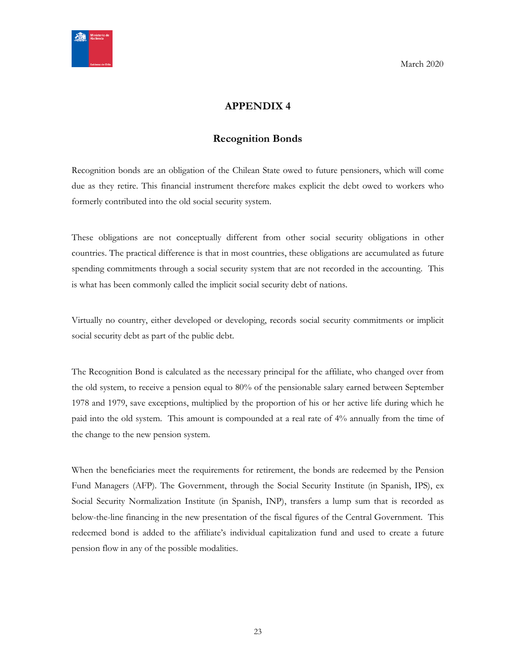<span id="page-22-0"></span>

# **APPENDIX 4**

## **Recognition Bonds**

<span id="page-22-1"></span>Recognition bonds are an obligation of the Chilean State owed to future pensioners, which will come due as they retire. This financial instrument therefore makes explicit the debt owed to workers who formerly contributed into the old social security system.

These obligations are not conceptually different from other social security obligations in other countries. The practical difference is that in most countries, these obligations are accumulated as future spending commitments through a social security system that are not recorded in the accounting. This is what has been commonly called the implicit social security debt of nations.

Virtually no country, either developed or developing, records social security commitments or implicit social security debt as part of the public debt.

The Recognition Bond is calculated as the necessary principal for the affiliate, who changed over from the old system, to receive a pension equal to 80% of the pensionable salary earned between September 1978 and 1979, save exceptions, multiplied by the proportion of his or her active life during which he paid into the old system. This amount is compounded at a real rate of 4% annually from the time of the change to the new pension system.

When the beneficiaries meet the requirements for retirement, the bonds are redeemed by the Pension Fund Managers (AFP). The Government, through the Social Security Institute (in Spanish, IPS), ex Social Security Normalization Institute (in Spanish, INP), transfers a lump sum that is recorded as below-the-line financing in the new presentation of the fiscal figures of the Central Government. This redeemed bond is added to the affiliate's individual capitalization fund and used to create a future pension flow in any of the possible modalities.